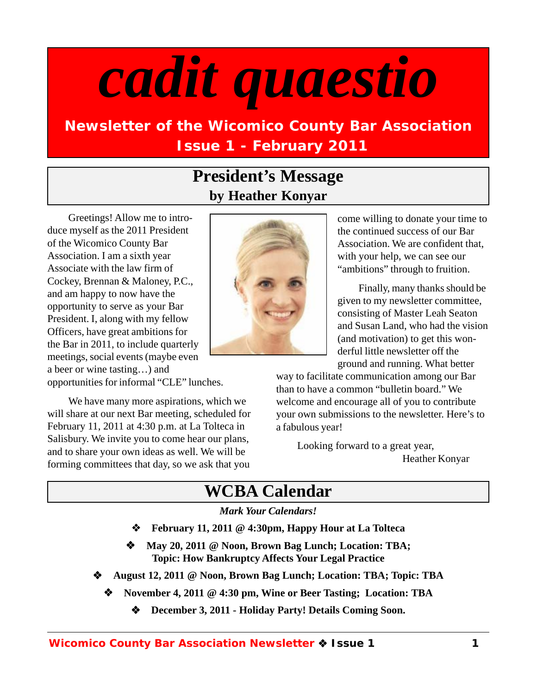# *cadit quaestio*

# **Newsletter of the Wicomico County Bar Association Issue 1 - February 2011**

# **President's Message by Heather Konyar**

Greetings! Allow me to introduce myself as the 2011 President of the Wicomico County Bar Association. I am a sixth year Associate with the law firm of Cockey, Brennan & Maloney, P.C., and am happy to now have the opportunity to serve as your Bar President. I, along with my fellow Officers, have great ambitions for the Bar in 2011, to include quarterly meetings, social events (maybe even a beer or wine tasting…) and

opportunities for informal "CLE" lunches.

We have many more aspirations, which we will share at our next Bar meeting, scheduled for February 11, 2011 at 4:30 p.m. at La Tolteca in Salisbury. We invite you to come hear our plans, and to share your own ideas as well. We will be forming committees that day, so we ask that you



come willing to donate your time to the continued success of our Bar Association. We are confident that, with your help, we can see our "ambitions" through to fruition.

Finally, many thanks should be given to my newsletter committee, consisting of Master Leah Seaton and Susan Land, who had the vision (and motivation) to get this wonderful little newsletter off the ground and running. What better

way to facilitate communication among our Bar than to have a common "bulletin board." We welcome and encourage all of you to contribute your own submissions to the newsletter. Here's to a fabulous year!

Looking forward to a great year, Heather Konyar

# **WCBA Calendar**

#### *Mark Your Calendars!*

- **February 11, 2011 @ 4:30pm, Happy Hour at La Tolteca**
- **May 20, 2011 @ Noon, Brown Bag Lunch; Location: TBA; Topic: How Bankruptcy Affects Your Legal Practice**
- **August 12, 2011 @ Noon, Brown Bag Lunch; Location: TBA; Topic: TBA**
	- **November 4, 2011 @ 4:30 pm, Wine or Beer Tasting; Location: TBA**
		- **December 3, 2011 Holiday Party! Details Coming Soon.**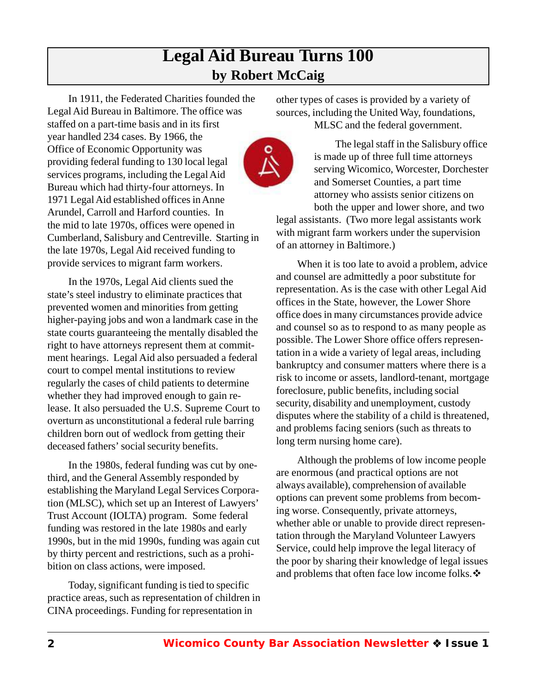# **Legal Aid Bureau Turns 100 by Robert McCaig**

In 1911, the Federated Charities founded the Legal Aid Bureau in Baltimore. The office was staffed on a part-time basis and in its first year handled 234 cases. By 1966, the Office of Economic Opportunity was providing federal funding to 130 local legal services programs, including the Legal Aid Bureau which had thirty-four attorneys. In 1971 Legal Aid established offices in Anne Arundel, Carroll and Harford counties. In the mid to late 1970s, offices were opened in Cumberland, Salisbury and Centreville. Starting in the late 1970s, Legal Aid received funding to provide services to migrant farm workers.

In the 1970s, Legal Aid clients sued the state's steel industry to eliminate practices that prevented women and minorities from getting higher-paying jobs and won a landmark case in the state courts guaranteeing the mentally disabled the right to have attorneys represent them at commitment hearings. Legal Aid also persuaded a federal court to compel mental institutions to review regularly the cases of child patients to determine whether they had improved enough to gain release. It also persuaded the U.S. Supreme Court to overturn as unconstitutional a federal rule barring children born out of wedlock from getting their deceased fathers' social security benefits.

In the 1980s, federal funding was cut by onethird, and the General Assembly responded by establishing the Maryland Legal Services Corporation (MLSC), which set up an Interest of Lawyers' Trust Account (IOLTA) program. Some federal funding was restored in the late 1980s and early 1990s, but in the mid 1990s, funding was again cut by thirty percent and restrictions, such as a prohibition on class actions, were imposed.

Today, significant funding is tied to specific practice areas, such as representation of children in CINA proceedings. Funding for representation in

other types of cases is provided by a variety of sources, including the United Way, foundations, MLSC and the federal government.



The legal staff in the Salisbury office is made up of three full time attorneys serving Wicomico, Worcester, Dorchester and Somerset Counties, a part time attorney who assists senior citizens on both the upper and lower shore, and two legal assistants. (Two more legal assistants work with migrant farm workers under the supervision of an attorney in Baltimore.)

When it is too late to avoid a problem, advice and counsel are admittedly a poor substitute for representation. As is the case with other Legal Aid offices in the State, however, the Lower Shore office does in many circumstances provide advice and counsel so as to respond to as many people as possible. The Lower Shore office offers representation in a wide a variety of legal areas, including bankruptcy and consumer matters where there is a risk to income or assets, landlord-tenant, mortgage foreclosure, public benefits, including social security, disability and unemployment, custody disputes where the stability of a child is threatened, and problems facing seniors (such as threats to long term nursing home care).

Although the problems of low income people are enormous (and practical options are not always available), comprehension of available options can prevent some problems from becoming worse. Consequently, private attorneys, whether able or unable to provide direct representation through the Maryland Volunteer Lawyers Service, could help improve the legal literacy of the poor by sharing their knowledge of legal issues and problems that often face low income folks.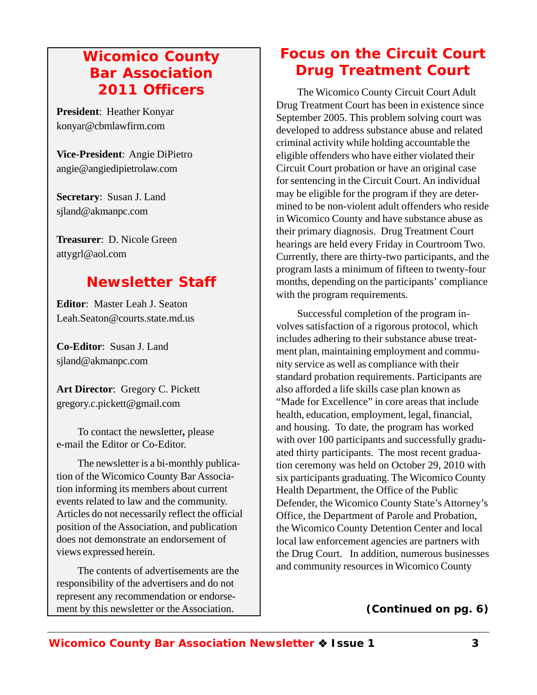## *Wicomico County Bar Association 2011 Officers*

**President**: Heather Konyar konyar@cbmlawfirm.com

**Vice-President**: Angie DiPietro angie@angiedipietrolaw.com

**Secretary**: Susan J. Land sjland@akmanpc.com

**Treasurer**: D. Nicole Green attygrl@aol.com

# *Newsletter Staff*

**Editor**: Master Leah J. Seaton Leah.Seaton@courts.state.md.us

**Co-Editor**: Susan J. Land sjland@akmanpc.com

**Art Director**: Gregory C. Pickett gregory.c.pickett@gmail.com

To contact the newsletter*,* please e-mail the Editor or Co-Editor.

The newsletter is a bi-monthly publication of the Wicomico County Bar Association informing its members about current events related to law and the community. Articles do not necessarily reflect the official position of the Association, and publication does not demonstrate an endorsement of views expressed herein.

The contents of advertisements are the responsibility of the advertisers and do not represent any recommendation or endorsement by this newsletter or the Association.

# *Focus on the Circuit Court Drug Treatment Court*

The Wicomico County Circuit Court Adult Drug Treatment Court has been in existence since September 2005. This problem solving court was developed to address substance abuse and related criminal activity while holding accountable the eligible offenders who have either violated their Circuit Court probation or have an original case for sentencing in the Circuit Court. An individual may be eligible for the program if they are determined to be non-violent adult offenders who reside in Wicomico County and have substance abuse as their primary diagnosis. Drug Treatment Court hearings are held every Friday in Courtroom Two. Currently, there are thirty-two participants, and the program lasts a minimum of fifteen to twenty-four months, depending on the participants' compliance with the program requirements.

Successful completion of the program involves satisfaction of a rigorous protocol, which includes adhering to their substance abuse treatment plan, maintaining employment and community service as well as compliance with their standard probation requirements. Participants are also afforded a life skills case plan known as "Made for Excellence" in core areas that include health, education, employment, legal, financial, and housing. To date, the program has worked with over 100 participants and successfully graduated thirty participants. The most recent graduation ceremony was held on October 29, 2010 with six participants graduating. The Wicomico County Health Department, the Office of the Public Defender, the Wicomico County State's Attorney's Office, the Department of Parole and Probation, the Wicomico County Detention Center and local local law enforcement agencies are partners with the Drug Court. In addition, numerous businesses and community resources in Wicomico County

**(***Continued on pg. 6***)**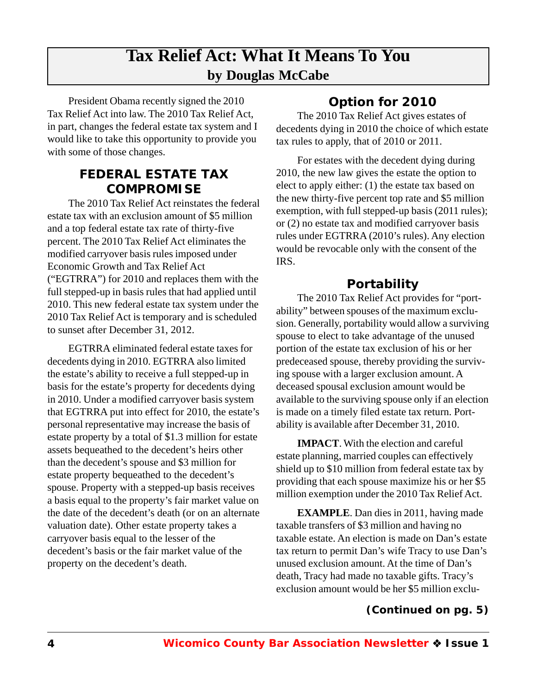# **Tax Relief Act: What It Means To You by Douglas McCabe**

President Obama recently signed the 2010 Tax Relief Act into law. The 2010 Tax Relief Act, in part, changes the federal estate tax system and I would like to take this opportunity to provide you with some of those changes.

#### **FEDERAL ESTATE TAX COMPROMISE**

The 2010 Tax Relief Act reinstates the federal estate tax with an exclusion amount of \$5 million and a top federal estate tax rate of thirty-five percent. The 2010 Tax Relief Act eliminates the modified carryover basis rules imposed under Economic Growth and Tax Relief Act ("EGTRRA") for 2010 and replaces them with the full stepped-up in basis rules that had applied until 2010. This new federal estate tax system under the 2010 Tax Relief Act is temporary and is scheduled to sunset after December 31, 2012.

EGTRRA eliminated federal estate taxes for decedents dying in 2010. EGTRRA also limited the estate's ability to receive a full stepped-up in basis for the estate's property for decedents dying in 2010. Under a modified carryover basis system that EGTRRA put into effect for 2010, the estate's personal representative may increase the basis of estate property by a total of \$1.3 million for estate assets bequeathed to the decedent's heirs other than the decedent's spouse and \$3 million for estate property bequeathed to the decedent's spouse. Property with a stepped-up basis receives a basis equal to the property's fair market value on the date of the decedent's death (or on an alternate valuation date). Other estate property takes a carryover basis equal to the lesser of the decedent's basis or the fair market value of the property on the decedent's death.

## **Option for 2010**

The 2010 Tax Relief Act gives estates of decedents dying in 2010 the choice of which estate tax rules to apply, that of 2010 or 2011.

For estates with the decedent dying during 2010, the new law gives the estate the option to elect to apply either: (1) the estate tax based on the new thirty-five percent top rate and \$5 million exemption, with full stepped-up basis (2011 rules); or (2) no estate tax and modified carryover basis rules under EGTRRA (2010's rules). Any election would be revocable only with the consent of the IRS.

#### **Portability**

The 2010 Tax Relief Act provides for "portability" between spouses of the maximum exclusion. Generally, portability would allow a surviving spouse to elect to take advantage of the unused portion of the estate tax exclusion of his or her predeceased spouse, thereby providing the surviving spouse with a larger exclusion amount. A deceased spousal exclusion amount would be available to the surviving spouse only if an election is made on a timely filed estate tax return. Portability is available after December 31, 2010.

**IMPACT**. With the election and careful estate planning, married couples can effectively shield up to \$10 million from federal estate tax by providing that each spouse maximize his or her \$5 million exemption under the 2010 Tax Relief Act.

**EXAMPLE**. Dan dies in 2011, having made taxable transfers of \$3 million and having no taxable estate. An election is made on Dan's estate tax return to permit Dan's wife Tracy to use Dan's unused exclusion amount. At the time of Dan's death, Tracy had made no taxable gifts. Tracy's exclusion amount would be her \$5 million exclu-

#### **(***Continued on pg. 5***)**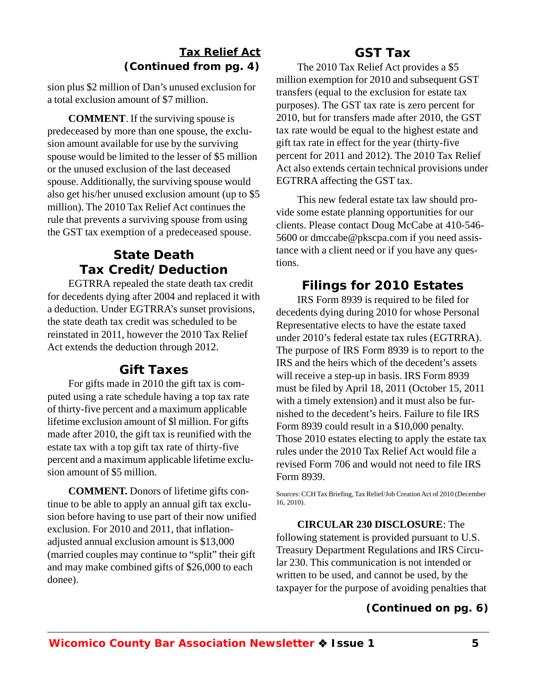#### *Tax Relief Act* **(***Continued from pg. 4***)**

sion plus \$2 million of Dan's unused exclusion for a total exclusion amount of \$7 million.

**COMMENT**. If the surviving spouse is predeceased by more than one spouse, the exclusion amount available for use by the surviving spouse would be limited to the lesser of \$5 million or the unused exclusion of the last deceased spouse. Additionally, the surviving spouse would also get his/her unused exclusion amount (up to \$5 million). The 2010 Tax Relief Act continues the rule that prevents a surviving spouse from using the GST tax exemption of a predeceased spouse.

### **State Death Tax Credit/Deduction**

EGTRRA repealed the state death tax credit for decedents dying after 2004 and replaced it with a deduction. Under EGTRRA's sunset provisions, the state death tax credit was scheduled to be reinstated in 2011, however the 2010 Tax Relief Act extends the deduction through 2012.

#### **Gift Taxes**

For gifts made in 2010 the gift tax is computed using a rate schedule having a top tax rate of thirty-five percent and a maximum applicable lifetime exclusion amount of \$l million. For gifts made after 2010, the gift tax is reunified with the estate tax with a top gift tax rate of thirty-five percent and a maximum applicable lifetime exclusion amount of \$5 million.

**COMMENT.** Donors of lifetime gifts continue to be able to apply an annual gift tax exclusion before having to use part of their now unified exclusion. For 2010 and 2011, that inflationadjusted annual exclusion amount is \$13,000 (married couples may continue to "split" their gift and may make combined gifts of \$26,000 to each donee).

#### **GST Tax**

The 2010 Tax Relief Act provides a \$5 million exemption for 2010 and subsequent GST transfers (equal to the exclusion for estate tax purposes). The GST tax rate is zero percent for 2010, but for transfers made after 2010, the GST tax rate would be equal to the highest estate and gift tax rate in effect for the year (thirty-five percent for 2011 and 2012). The 2010 Tax Relief Act also extends certain technical provisions under EGTRRA affecting the GST tax.

This new federal estate tax law should provide some estate planning opportunities for our clients. Please contact Doug McCabe at 410-546- 5600 or dmccabe@pkscpa.com if you need assistance with a client need or if you have any questions.

#### **Filings for 2010 Estates**

IRS Form 8939 is required to be filed for decedents dying during 2010 for whose Personal Representative elects to have the estate taxed under 2010's federal estate tax rules (EGTRRA). The purpose of IRS Form 8939 is to report to the IRS and the heirs which of the decedent's assets will receive a step-up in basis. IRS Form 8939 must be filed by April 18, 2011 (October 15, 2011 with a timely extension) and it must also be furnished to the decedent's heirs. Failure to file IRS Form 8939 could result in a \$10,000 penalty. Those 2010 estates electing to apply the estate tax rules under the 2010 Tax Relief Act would file a revised Form 706 and would not need to file IRS Form 8939.

Sources: CCH Tax Briefing, Tax Relief/Job Creation Act of 2010 (December 16, 2010).

**CIRCULAR 230 DISCLOSURE**: The following statement is provided pursuant to U.S. Treasury Department Regulations and IRS Circular 230. This communication is not intended or written to be used, and cannot be used, by the taxpayer for the purpose of avoiding penalties that

#### **(***Continued on pg. 6***)**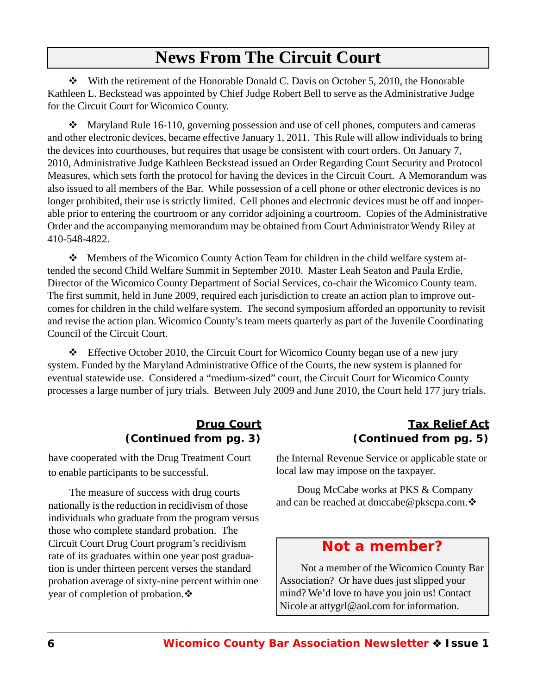# **News From The Circuit Court**

 $\div$  With the retirement of the Honorable Donald C. Davis on October 5, 2010, the Honorable Kathleen L. Beckstead was appointed by Chief Judge Robert Bell to serve as the Administrative Judge for the Circuit Court for Wicomico County.

 $\mathbf{\hat{P}}$  Maryland Rule 16-110, governing possession and use of cell phones, computers and cameras and other electronic devices, became effective January 1, 2011. This Rule will allow individuals to bring the devices into courthouses, but requires that usage be consistent with court orders. On January 7, 2010, Administrative Judge Kathleen Beckstead issued an Order Regarding Court Security and Protocol Measures, which sets forth the protocol for having the devices in the Circuit Court. A Memorandum was also issued to all members of the Bar. While possession of a cell phone or other electronic devices is no longer prohibited, their use is strictly limited. Cell phones and electronic devices must be off and inoperable prior to entering the courtroom or any corridor adjoining a courtroom. Copies of the Administrative Order and the accompanying memorandum may be obtained from Court Administrator Wendy Riley at 410-548-4822.

 Members of the Wicomico County Action Team for children in the child welfare system attended the second Child Welfare Summit in September 2010. Master Leah Seaton and Paula Erdie, Director of the Wicomico County Department of Social Services, co-chair the Wicomico County team. The first summit, held in June 2009, required each jurisdiction to create an action plan to improve outcomes for children in the child welfare system. The second symposium afforded an opportunity to revisit and revise the action plan. Wicomico County's team meets quarterly as part of the Juvenile Coordinating Council of the Circuit Court.

 $\div$  Effective October 2010, the Circuit Court for Wicomico County began use of a new jury system. Funded by the Maryland Administrative Office of the Courts, the new system is planned for eventual statewide use. Considered a "medium-sized" court, the Circuit Court for Wicomico County processes a large number of jury trials. Between July 2009 and June 2010, the Court held 177 jury trials.

#### *Drug Court* **(***Continued from pg. 3***)**

have cooperated with the Drug Treatment Court to enable participants to be successful.

The measure of success with drug courts nationally is the reduction in recidivism of those individuals who graduate from the program versus those who complete standard probation. The Circuit Court Drug Court program's recidivism rate of its graduates within one year post graduation is under thirteen percent verses the standard probation average of sixty-nine percent within one year of completion of probation.

#### *Tax Relief Act* **(***Continued from pg. 5***)**

the Internal Revenue Service or applicable state or local law may impose on the taxpayer.

Doug McCabe works at PKS & Company and can be reached at dmccabe@pkscpa.com.

## *Not a member?*

Not a member of the Wicomico County Bar Association? Or have dues just slipped your mind? We'd love to have you join us! Contact Nicole at attygrl@aol.com for information.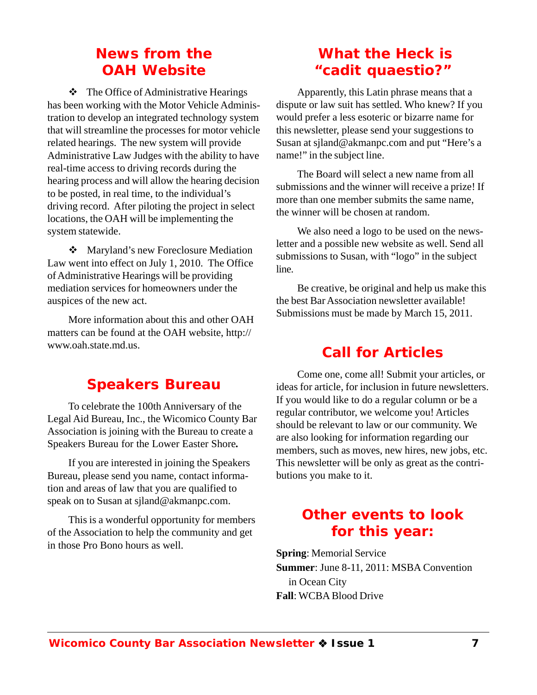## *News from the OAH Website*

 $\div$  The Office of Administrative Hearings has been working with the Motor Vehicle Administration to develop an integrated technology system that will streamline the processes for motor vehicle related hearings. The new system will provide Administrative Law Judges with the ability to have real-time access to driving records during the hearing process and will allow the hearing decision to be posted, in real time, to the individual's driving record. After piloting the project in select locations, the OAH will be implementing the system statewide.

❖ Maryland's new Foreclosure Mediation Law went into effect on July 1, 2010. The Office of Administrative Hearings will be providing mediation services for homeowners under the auspices of the new act.

More information about this and other OAH matters can be found at the OAH website, http:// www.oah.state.md.us.

## *Speakers Bureau*

To celebrate the 100th Anniversary of the Legal Aid Bureau, Inc., the Wicomico County Bar Association is joining with the Bureau to create a Speakers Bureau for the Lower Easter Shore*.*

If you are interested in joining the Speakers Bureau, please send you name, contact information and areas of law that you are qualified to speak on to Susan at sjland@akmanpc.com.

This is a wonderful opportunity for members of the Association to help the community and get in those Pro Bono hours as well.

# *What the Heck is "cadit quaestio?"*

Apparently, this Latin phrase means that a dispute or law suit has settled. Who knew? If you would prefer a less esoteric or bizarre name for this newsletter, please send your suggestions to Susan at sjland@akmanpc.com and put "Here's a name!" in the subject line.

The Board will select a new name from all submissions and the winner will receive a prize! If more than one member submits the same name, the winner will be chosen at random.

We also need a logo to be used on the newsletter and a possible new website as well. Send all submissions to Susan, with "logo" in the subject line.

Be creative, be original and help us make this the best Bar Association newsletter available! Submissions must be made by March 15, 2011.

# *Call for Articles*

Come one, come all! Submit your articles, or ideas for article, for inclusion in future newsletters. If you would like to do a regular column or be a regular contributor, we welcome you! Articles should be relevant to law or our community. We are also looking for information regarding our members, such as moves, new hires, new jobs, etc. This newsletter will be only as great as the contributions you make to it.

## *Other events to look for this year:*

**Spring**: Memorial Service **Summer**: June 8-11, 2011: MSBA Convention in Ocean City **Fall**: WCBA Blood Drive